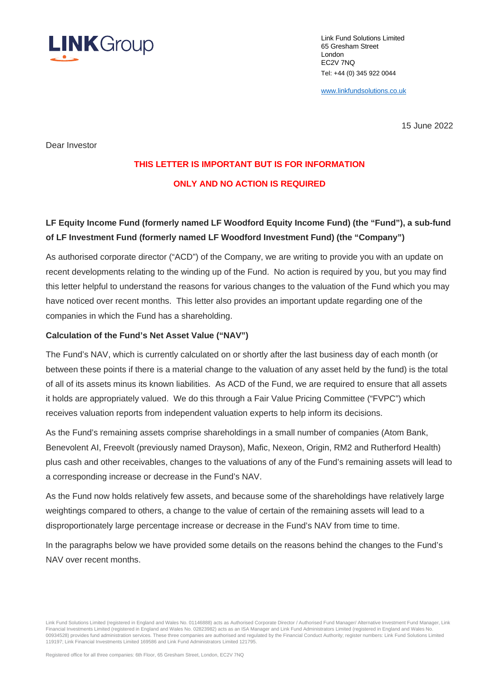

Link Fund Solutions Limited 65 Gresham Street London EC2V 7NQ Tel: +44 (0) 345 922 0044

www.linkfundsolutions.co.uk

15 June 2022

Dear Investor

# **THIS LETTER IS IMPORTANT BUT IS FOR INFORMATION ONLY AND NO ACTION IS REQUIRED**

# **LF Equity Income Fund (formerly named LF Woodford Equity Income Fund) (the "Fund"), a sub-fund of LF Investment Fund (formerly named LF Woodford Investment Fund) (the "Company")**

As authorised corporate director ("ACD") of the Company, we are writing to provide you with an update on recent developments relating to the winding up of the Fund. No action is required by you, but you may find this letter helpful to understand the reasons for various changes to the valuation of the Fund which you may have noticed over recent months. This letter also provides an important update regarding one of the companies in which the Fund has a shareholding.

### **Calculation of the Fund's Net Asset Value ("NAV")**

The Fund's NAV, which is currently calculated on or shortly after the last business day of each month (or between these points if there is a material change to the valuation of any asset held by the fund) is the total of all of its assets minus its known liabilities. As ACD of the Fund, we are required to ensure that all assets it holds are appropriately valued. We do this through a Fair Value Pricing Committee ("FVPC") which receives valuation reports from independent valuation experts to help inform its decisions.

As the Fund's remaining assets comprise shareholdings in a small number of companies (Atom Bank, Benevolent AI, Freevolt (previously named Drayson), Mafic, Nexeon, Origin, RM2 and Rutherford Health) plus cash and other receivables, changes to the valuations of any of the Fund's remaining assets will lead to a corresponding increase or decrease in the Fund's NAV.

As the Fund now holds relatively few assets, and because some of the shareholdings have relatively large weightings compared to others, a change to the value of certain of the remaining assets will lead to a disproportionately large percentage increase or decrease in the Fund's NAV from time to time.

In the paragraphs below we have provided some details on the reasons behind the changes to the Fund's NAV over recent months.

Link Fund Solutions Limited (registered in England and Wales No. 01146888) acts as Authorised Corporate Director / Authorised Fund Manager/ Alternative Investment Fund Manager, Link Financial Investments Limited (registered in England and Wales No. 02823982) acts as an ISA Manager and Link Fund Administrators Limited (registered in England and Wales No. 00934528) provides fund administration services. These three companies are authorised and regulated by the Financial Conduct Authority; register numbers: Link Fund Solutions Limited 119197; Link Financial Investments Limited 169586 and Link Fund Administrators Limited 121795.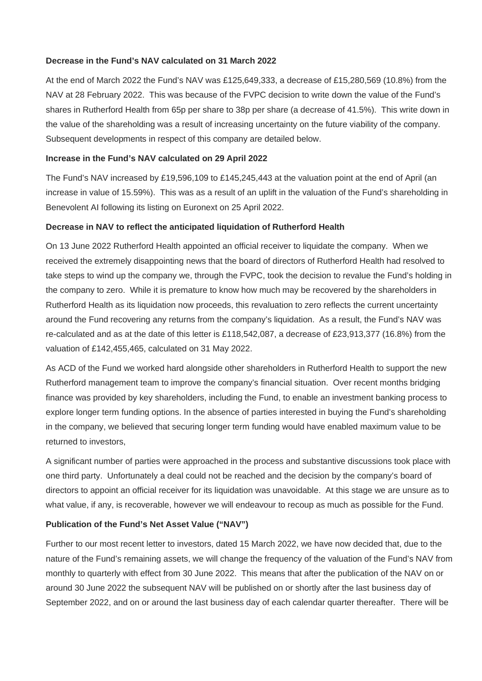#### **Decrease in the Fund's NAV calculated on 31 March 2022**

At the end of March 2022 the Fund's NAV was £125,649,333, a decrease of £15,280,569 (10.8%) from the NAV at 28 February 2022. This was because of the FVPC decision to write down the value of the Fund's shares in Rutherford Health from 65p per share to 38p per share (a decrease of 41.5%). This write down in the value of the shareholding was a result of increasing uncertainty on the future viability of the company. Subsequent developments in respect of this company are detailed below.

### **Increase in the Fund's NAV calculated on 29 April 2022**

The Fund's NAV increased by £19,596,109 to £145,245,443 at the valuation point at the end of April (an increase in value of 15.59%). This was as a result of an uplift in the valuation of the Fund's shareholding in Benevolent AI following its listing on Euronext on 25 April 2022.

#### **Decrease in NAV to reflect the anticipated liquidation of Rutherford Health**

On 13 June 2022 Rutherford Health appointed an official receiver to liquidate the company. When we received the extremely disappointing news that the board of directors of Rutherford Health had resolved to take steps to wind up the company we, through the FVPC, took the decision to revalue the Fund's holding in the company to zero. While it is premature to know how much may be recovered by the shareholders in Rutherford Health as its liquidation now proceeds, this revaluation to zero reflects the current uncertainty around the Fund recovering any returns from the company's liquidation. As a result, the Fund's NAV was re-calculated and as at the date of this letter is £118,542,087, a decrease of £23,913,377 (16.8%) from the valuation of £142,455,465, calculated on 31 May 2022.

As ACD of the Fund we worked hard alongside other shareholders in Rutherford Health to support the new Rutherford management team to improve the company's financial situation. Over recent months bridging finance was provided by key shareholders, including the Fund, to enable an investment banking process to explore longer term funding options. In the absence of parties interested in buying the Fund's shareholding in the company, we believed that securing longer term funding would have enabled maximum value to be returned to investors,

A significant number of parties were approached in the process and substantive discussions took place with one third party. Unfortunately a deal could not be reached and the decision by the company's board of directors to appoint an official receiver for its liquidation was unavoidable. At this stage we are unsure as to what value, if any, is recoverable, however we will endeavour to recoup as much as possible for the Fund.

### **Publication of the Fund's Net Asset Value ("NAV")**

Further to our most recent letter to investors, dated 15 March 2022, we have now decided that, due to the nature of the Fund's remaining assets, we will change the frequency of the valuation of the Fund's NAV from monthly to quarterly with effect from 30 June 2022. This means that after the publication of the NAV on or around 30 June 2022 the subsequent NAV will be published on or shortly after the last business day of September 2022, and on or around the last business day of each calendar quarter thereafter. There will be